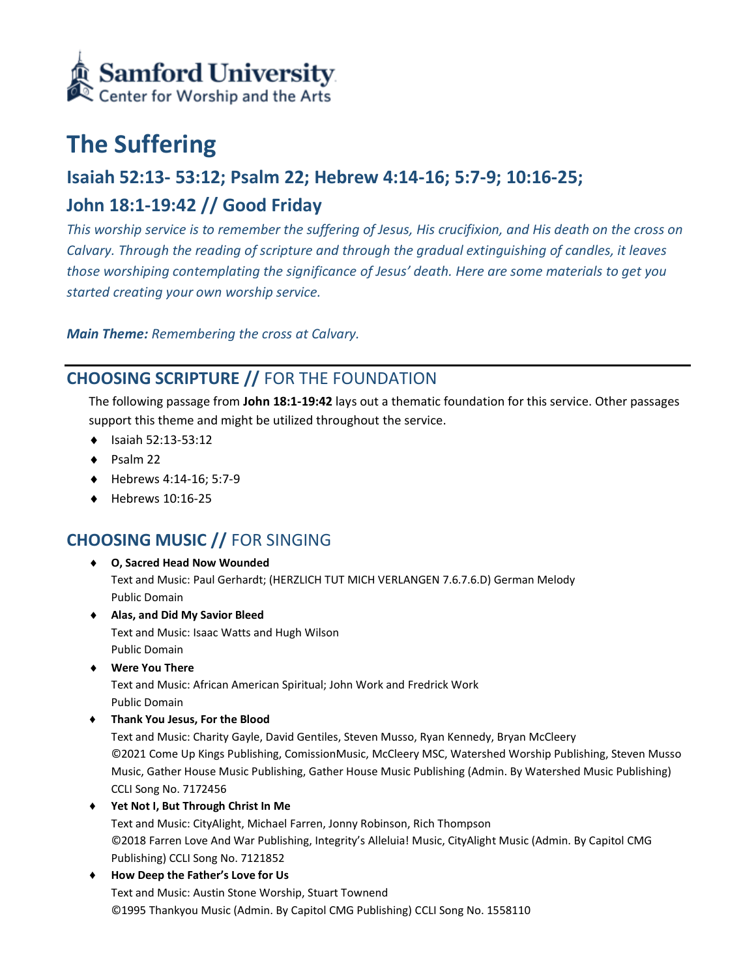

# **The Suffering**

# **Isaiah 52:13- 53:12; Psalm 22; Hebrew 4:14-16; 5:7-9; 10:16-25;**

# **John 18:1-19:42 // Good Friday**

*This worship service is to remember the suffering of Jesus, His crucifixion, and His death on the cross on Calvary. Through the reading of scripture and through the gradual extinguishing of candles, it leaves those worshiping contemplating the significance of Jesus' death. Here are some materials to get you started creating your own worship service.* 

*Main Theme: Remembering the cross at Calvary.* 

### **CHOOSING SCRIPTURE //** FOR THE FOUNDATION

The following passage from **John 18:1-19:42** lays out a thematic foundation for this service. Other passages support this theme and might be utilized throughout the service.

- $\bullet$  Isaiah 52:13-53:12
- $\bullet$  Psalm 22
- Hebrews 4:14-16; 5:7-9
- $\leftrightarrow$  Hebrews 10:16-25

## **CHOOSING MUSIC //** FOR SINGING

- **O, Sacred Head Now Wounded** Text and Music: Paul Gerhardt; (HERZLICH TUT MICH VERLANGEN 7.6.7.6.D) German Melody Public Domain
- **Alas, and Did My Savior Bleed**  Text and Music: Isaac Watts and Hugh Wilson Public Domain
- **Were You There**

Text and Music: African American Spiritual; John Work and Fredrick Work Public Domain

♦ **Thank You Jesus, For the Blood**

Text and Music: Charity Gayle, David Gentiles, Steven Musso, Ryan Kennedy, Bryan McCleery ©2021 Come Up Kings Publishing, ComissionMusic, McCleery MSC, Watershed Worship Publishing, Steven Musso Music, Gather House Music Publishing, Gather House Music Publishing (Admin. By Watershed Music Publishing) CCLI Song No. 7172456

♦ **Yet Not I, But Through Christ In Me**

Text and Music: CityAlight, Michael Farren, Jonny Robinson, Rich Thompson ©2018 Farren Love And War Publishing, Integrity's Alleluia! Music, CityAlight Music (Admin. By Capitol CMG Publishing) CCLI Song No. 7121852

♦ **How Deep the Father's Love for Us** Text and Music: Austin Stone Worship, Stuart Townend ©1995 Thankyou Music (Admin. By Capitol CMG Publishing) CCLI Song No. 1558110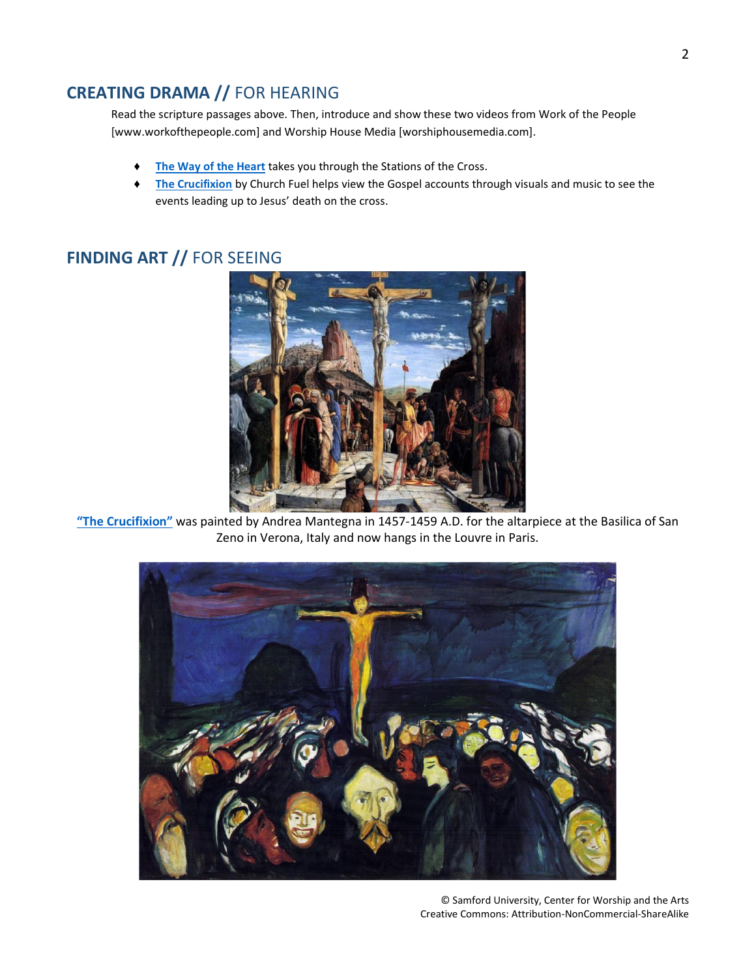#### **CREATING DRAMA //** FOR HEARING

Read the scripture passages above. Then, introduce and show these two videos from Work of the People [www.workofthepeople.com] and Worship House Media [worshiphousemedia.com].

- ♦ **[The Way of the Heart](https://www.theworkofthepeople.com/film-series/the-way-of-the-heart)** takes you through the Stations of the Cross.
- ♦ **[The Crucifixion](https://www.worshiphousemedia.com/mini-movies/17929/the-crucifixion)** by Church Fuel helps view the Gospel accounts through visuals and music to see the events leading up to Jesus' death on the cross.

### **FINDING ART //** FOR SEEING



**["The Crucifixion"](https://www.andreamantegna.net/crucifixion/)** was painted by Andrea Mantegna in 1457-1459 A.D. for the altarpiece at the Basilica of San Zeno in Verona, Italy and now hangs in the Louvre in Paris.

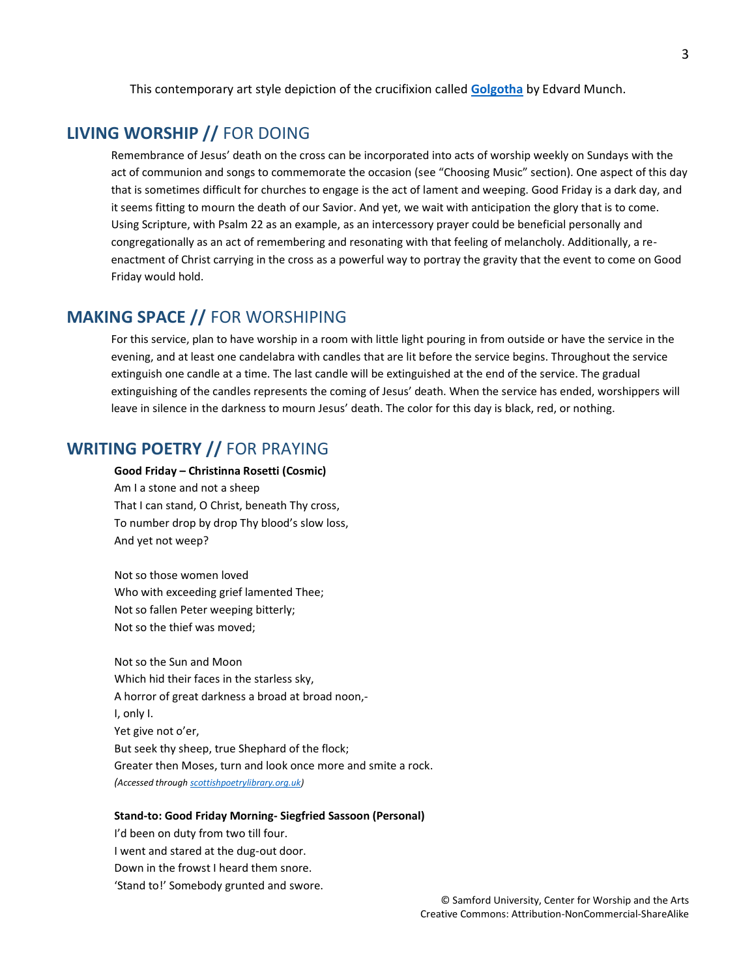This contemporary art style depiction of the crucifixion called **[Golgotha](http://www.edvard-munch.org/golgotha/)** by Edvard Munch.

#### **LIVING WORSHIP //** FOR DOING

Remembrance of Jesus' death on the cross can be incorporated into acts of worship weekly on Sundays with the act of communion and songs to commemorate the occasion (see "Choosing Music" section). One aspect of this day that is sometimes difficult for churches to engage is the act of lament and weeping. Good Friday is a dark day, and it seems fitting to mourn the death of our Savior. And yet, we wait with anticipation the glory that is to come. Using Scripture, with Psalm 22 as an example, as an intercessory prayer could be beneficial personally and congregationally as an act of remembering and resonating with that feeling of melancholy. Additionally, a reenactment of Christ carrying in the cross as a powerful way to portray the gravity that the event to come on Good Friday would hold.

#### **MAKING SPACE //** FOR WORSHIPING

For this service, plan to have worship in a room with little light pouring in from outside or have the service in the evening, and at least one candelabra with candles that are lit before the service begins. Throughout the service extinguish one candle at a time. The last candle will be extinguished at the end of the service. The gradual extinguishing of the candles represents the coming of Jesus' death. When the service has ended, worshippers will leave in silence in the darkness to mourn Jesus' death. The color for this day is black, red, or nothing.

#### **WRITING POETRY //** FOR PRAYING

#### **Good Friday – Christinna Rosetti (Cosmic)**

Am I a stone and not a sheep That I can stand, O Christ, beneath Thy cross, To number drop by drop Thy blood's slow loss, And yet not weep?

Not so those women loved Who with exceeding grief lamented Thee; Not so fallen Peter weeping bitterly; Not so the thief was moved;

Not so the Sun and Moon Which hid their faces in the starless sky, A horror of great darkness a broad at broad noon,- I, only I. Yet give not o'er, But seek thy sheep, true Shephard of the flock; Greater then Moses, turn and look once more and smite a rock. *(Accessed throug[h scottishpoetrylibrary.org.uk\)](https://www.scottishpoetrylibrary.org.uk/poem/good-friday-0/)*

#### **Stand-to: Good Friday Morning- Siegfried Sassoon (Personal)**

I'd been on duty from two till four. I went and stared at the dug-out door. Down in the frowst I heard them snore. 'Stand to!' Somebody grunted and swore.